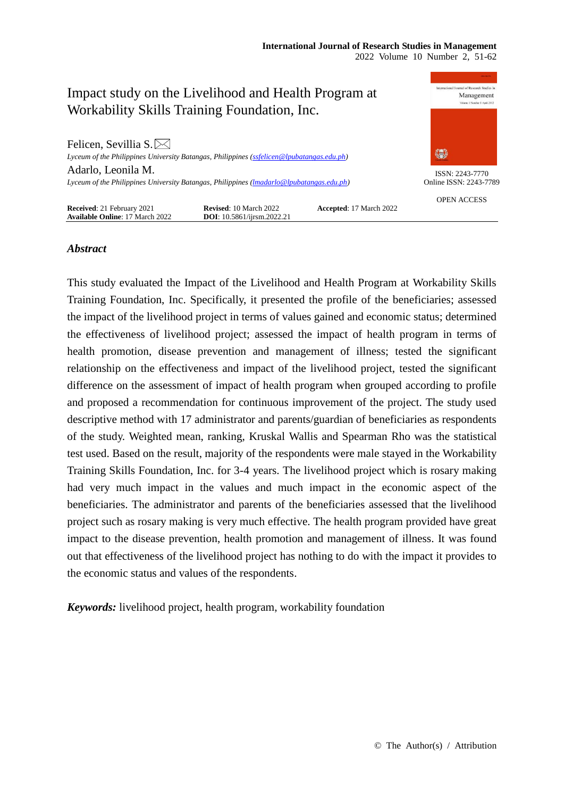

# *Abstract*

This study evaluated the Impact of the Livelihood and Health Program at Workability Skills Training Foundation, Inc. Specifically, it presented the profile of the beneficiaries; assessed the impact of the livelihood project in terms of values gained and economic status; determined the effectiveness of livelihood project; assessed the impact of health program in terms of health promotion, disease prevention and management of illness; tested the significant relationship on the effectiveness and impact of the livelihood project, tested the significant difference on the assessment of impact of health program when grouped according to profile and proposed a recommendation for continuous improvement of the project. The study used descriptive method with 17 administrator and parents/guardian of beneficiaries as respondents of the study. Weighted mean, ranking, Kruskal Wallis and Spearman Rho was the statistical test used. Based on the result, majority of the respondents were male stayed in the Workability Training Skills Foundation, Inc. for 3-4 years. The livelihood project which is rosary making had very much impact in the values and much impact in the economic aspect of the beneficiaries. The administrator and parents of the beneficiaries assessed that the livelihood project such as rosary making is very much effective. The health program provided have great impact to the disease prevention, health promotion and management of illness. It was found out that effectiveness of the livelihood project has nothing to do with the impact it provides to the economic status and values of the respondents.

*Keywords:* livelihood project, health program, workability foundation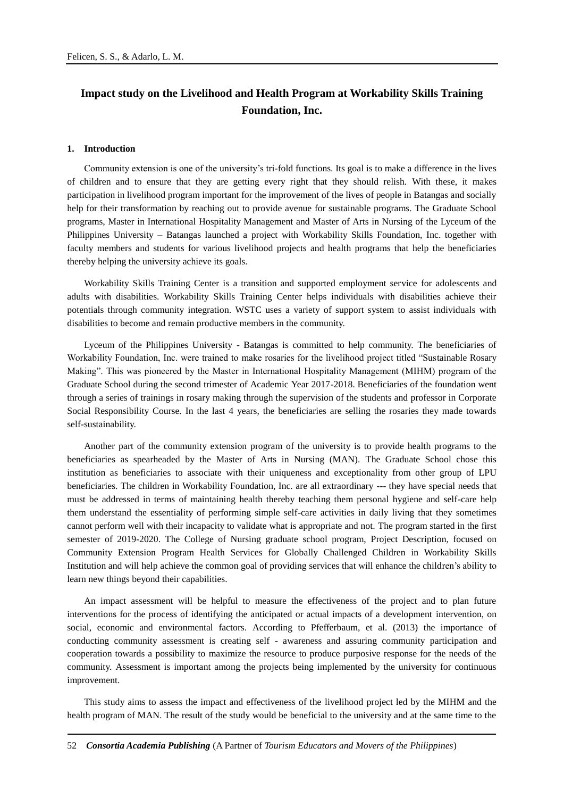# **Impact study on the Livelihood and Health Program at Workability Skills Training Foundation, Inc.**

#### **1. Introduction**

Community extension is one of the university's tri-fold functions. Its goal is to make a difference in the lives of children and to ensure that they are getting every right that they should relish. With these, it makes participation in livelihood program important for the improvement of the lives of people in Batangas and socially help for their transformation by reaching out to provide avenue for sustainable programs. The Graduate School programs, Master in International Hospitality Management and Master of Arts in Nursing of the Lyceum of the Philippines University – Batangas launched a project with Workability Skills Foundation, Inc. together with faculty members and students for various livelihood projects and health programs that help the beneficiaries thereby helping the university achieve its goals.

Workability Skills Training Center is a transition and supported employment service for adolescents and adults with disabilities. Workability Skills Training Center helps individuals with disabilities achieve their potentials through community integration. WSTC uses a variety of support system to assist individuals with disabilities to become and remain productive members in the community.

Lyceum of the Philippines University - Batangas is committed to help community. The beneficiaries of Workability Foundation, Inc. were trained to make rosaries for the livelihood project titled "Sustainable Rosary Making". This was pioneered by the Master in International Hospitality Management (MIHM) program of the Graduate School during the second trimester of Academic Year 2017-2018. Beneficiaries of the foundation went through a series of trainings in rosary making through the supervision of the students and professor in Corporate Social Responsibility Course. In the last 4 years, the beneficiaries are selling the rosaries they made towards self-sustainability.

Another part of the community extension program of the university is to provide health programs to the beneficiaries as spearheaded by the Master of Arts in Nursing (MAN). The Graduate School chose this institution as beneficiaries to associate with their uniqueness and exceptionality from other group of LPU beneficiaries. The children in Workability Foundation, Inc. are all extraordinary --- they have special needs that must be addressed in terms of maintaining health thereby teaching them personal hygiene and self-care help them understand the essentiality of performing simple self-care activities in daily living that they sometimes cannot perform well with their incapacity to validate what is appropriate and not. The program started in the first semester of 2019-2020. The College of Nursing graduate school program, Project Description, focused on Community Extension Program Health Services for Globally Challenged Children in Workability Skills Institution and will help achieve the common goal of providing services that will enhance the children's ability to learn new things beyond their capabilities.

An impact assessment will be helpful to measure the effectiveness of the project and to plan future interventions for the process of identifying the anticipated or actual impacts of a development intervention, on social, economic and environmental factors. According to Pfefferbaum, et al. (2013) the importance of conducting community assessment is creating self - awareness and assuring community participation and cooperation towards a possibility to maximize the resource to produce purposive response for the needs of the community. Assessment is important among the projects being implemented by the university for continuous improvement.

This study aims to assess the impact and effectiveness of the livelihood project led by the MIHM and the health program of MAN. The result of the study would be beneficial to the university and at the same time to the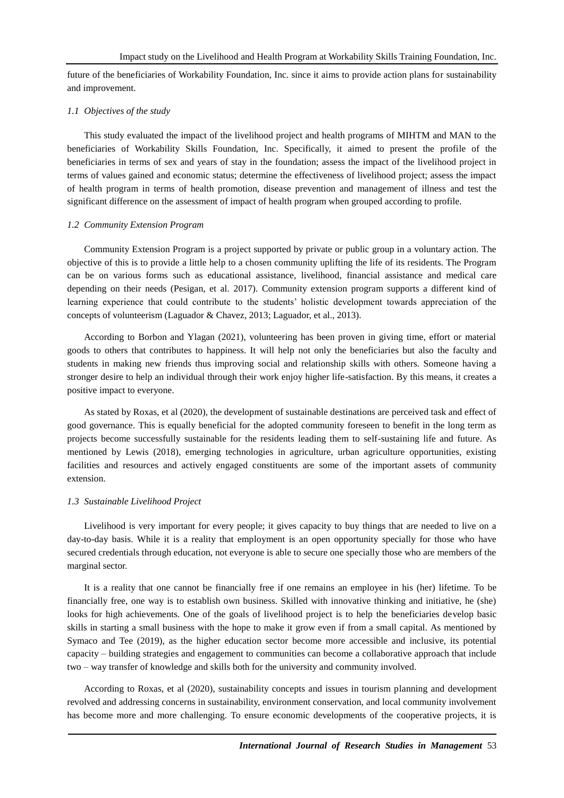future of the beneficiaries of Workability Foundation, Inc. since it aims to provide action plans for sustainability and improvement.

#### *1.1 Objectives of the study*

This study evaluated the impact of the livelihood project and health programs of MIHTM and MAN to the beneficiaries of Workability Skills Foundation, Inc. Specifically, it aimed to present the profile of the beneficiaries in terms of sex and years of stay in the foundation; assess the impact of the livelihood project in terms of values gained and economic status; determine the effectiveness of livelihood project; assess the impact of health program in terms of health promotion, disease prevention and management of illness and test the significant difference on the assessment of impact of health program when grouped according to profile.

#### *1.2 Community Extension Program*

Community Extension Program is a project supported by private or public group in a voluntary action. The objective of this is to provide a little help to a chosen community uplifting the life of its residents. The Program can be on various forms such as educational assistance, livelihood, financial assistance and medical care depending on their needs (Pesigan, et al. 2017). Community extension program supports a different kind of learning experience that could contribute to the students' holistic development towards appreciation of the concepts of volunteerism (Laguador & Chavez, 2013; Laguador, et al., 2013).

According to Borbon and Ylagan (2021), volunteering has been proven in giving time, effort or material goods to others that contributes to happiness. It will help not only the beneficiaries but also the faculty and students in making new friends thus improving social and relationship skills with others. Someone having a stronger desire to help an individual through their work enjoy higher life-satisfaction. By this means, it creates a positive impact to everyone.

As stated by Roxas, et al (2020), the development of sustainable destinations are perceived task and effect of good governance. This is equally beneficial for the adopted community foreseen to benefit in the long term as projects become successfully sustainable for the residents leading them to self-sustaining life and future. As mentioned by Lewis (2018), emerging technologies in agriculture, urban agriculture opportunities, existing facilities and resources and actively engaged constituents are some of the important assets of community extension.

#### *1.3 Sustainable Livelihood Project*

Livelihood is very important for every people; it gives capacity to buy things that are needed to live on a day-to-day basis. While it is a reality that employment is an open opportunity specially for those who have secured credentials through education, not everyone is able to secure one specially those who are members of the marginal sector.

It is a reality that one cannot be financially free if one remains an employee in his (her) lifetime. To be financially free, one way is to establish own business. Skilled with innovative thinking and initiative, he (she) looks for high achievements. One of the goals of livelihood project is to help the beneficiaries develop basic skills in starting a small business with the hope to make it grow even if from a small capital. As mentioned by Symaco and Tee (2019), as the higher education sector become more accessible and inclusive, its potential capacity – building strategies and engagement to communities can become a collaborative approach that include two – way transfer of knowledge and skills both for the university and community involved.

According to Roxas, et al (2020), sustainability concepts and issues in tourism planning and development revolved and addressing concerns in sustainability, environment conservation, and local community involvement has become more and more challenging. To ensure economic developments of the cooperative projects, it is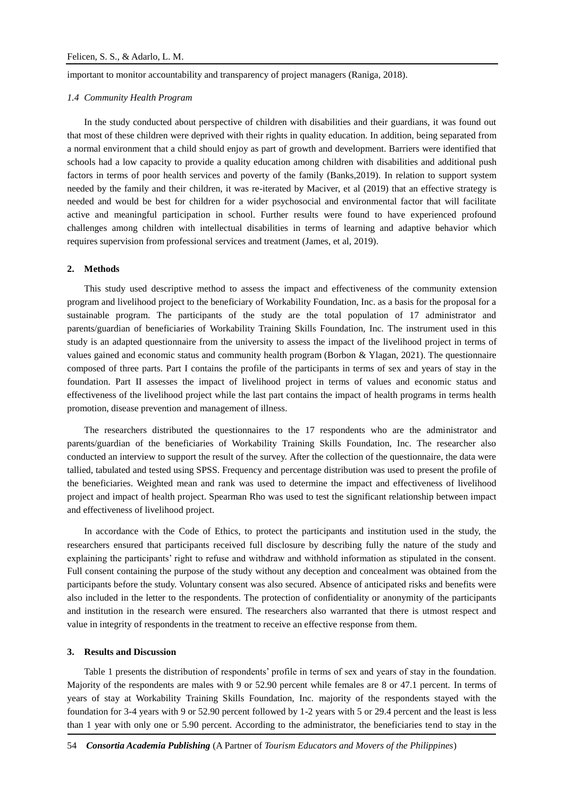important to monitor accountability and transparency of project managers (Raniga, 2018).

### *1.4 Community Health Program*

In the study conducted about perspective of children with disabilities and their guardians, it was found out that most of these children were deprived with their rights in quality education. In addition, being separated from a normal environment that a child should enjoy as part of growth and development. Barriers were identified that schools had a low capacity to provide a quality education among children with disabilities and additional push factors in terms of poor health services and poverty of the family (Banks,2019). In relation to support system needed by the family and their children, it was re-iterated by Maciver, et al (2019) that an effective strategy is needed and would be best for children for a wider psychosocial and environmental factor that will facilitate active and meaningful participation in school. Further results were found to have experienced profound challenges among children with intellectual disabilities in terms of learning and adaptive behavior which requires supervision from professional services and treatment (James, et al, 2019).

#### **2. Methods**

This study used descriptive method to assess the impact and effectiveness of the community extension program and livelihood project to the beneficiary of Workability Foundation, Inc. as a basis for the proposal for a sustainable program. The participants of the study are the total population of 17 administrator and parents/guardian of beneficiaries of Workability Training Skills Foundation, Inc. The instrument used in this study is an adapted questionnaire from the university to assess the impact of the livelihood project in terms of values gained and economic status and community health program (Borbon & Ylagan, 2021). The questionnaire composed of three parts. Part I contains the profile of the participants in terms of sex and years of stay in the foundation. Part II assesses the impact of livelihood project in terms of values and economic status and effectiveness of the livelihood project while the last part contains the impact of health programs in terms health promotion, disease prevention and management of illness.

The researchers distributed the questionnaires to the 17 respondents who are the administrator and parents/guardian of the beneficiaries of Workability Training Skills Foundation, Inc. The researcher also conducted an interview to support the result of the survey. After the collection of the questionnaire, the data were tallied, tabulated and tested using SPSS. Frequency and percentage distribution was used to present the profile of the beneficiaries. Weighted mean and rank was used to determine the impact and effectiveness of livelihood project and impact of health project. Spearman Rho was used to test the significant relationship between impact and effectiveness of livelihood project.

In accordance with the Code of Ethics, to protect the participants and institution used in the study, the researchers ensured that participants received full disclosure by describing fully the nature of the study and explaining the participants' right to refuse and withdraw and withhold information as stipulated in the consent. Full consent containing the purpose of the study without any deception and concealment was obtained from the participants before the study. Voluntary consent was also secured. Absence of anticipated risks and benefits were also included in the letter to the respondents. The protection of confidentiality or anonymity of the participants and institution in the research were ensured. The researchers also warranted that there is utmost respect and value in integrity of respondents in the treatment to receive an effective response from them.

#### **3. Results and Discussion**

Table 1 presents the distribution of respondents' profile in terms of sex and years of stay in the foundation. Majority of the respondents are males with 9 or 52.90 percent while females are 8 or 47.1 percent. In terms of years of stay at Workability Training Skills Foundation, Inc. majority of the respondents stayed with the foundation for 3-4 years with 9 or 52.90 percent followed by 1-2 years with 5 or 29.4 percent and the least is less than 1 year with only one or 5.90 percent. According to the administrator, the beneficiaries tend to stay in the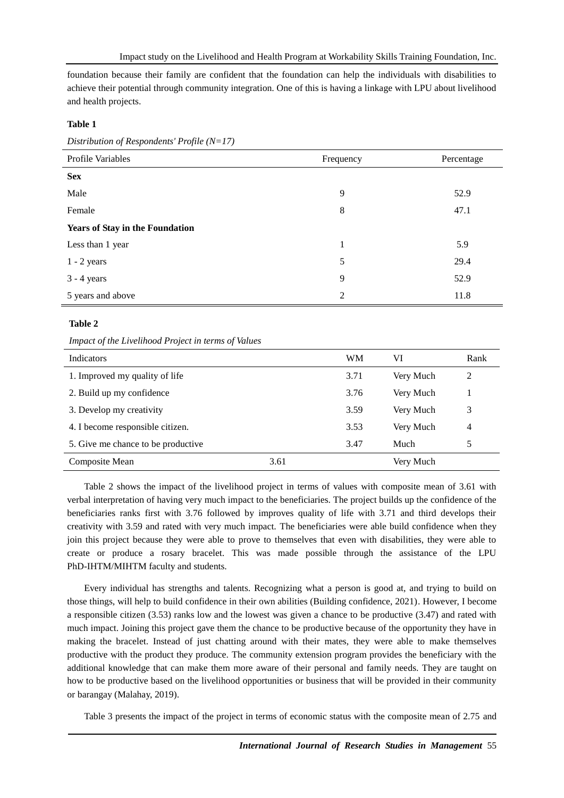foundation because their family are confident that the foundation can help the individuals with disabilities to achieve their potential through community integration. One of this is having a linkage with LPU about livelihood and health projects.

# **Table 1**

*Distribution of Respondents' Profile (N=17)*

| Profile Variables                      | Frequency      | Percentage |
|----------------------------------------|----------------|------------|
| <b>Sex</b>                             |                |            |
| Male                                   | 9              | 52.9       |
| Female                                 | 8              | 47.1       |
| <b>Years of Stay in the Foundation</b> |                |            |
| Less than 1 year                       | 1              | 5.9        |
| $1 - 2$ years                          | 5              | 29.4       |
| $3 - 4$ years                          | 9              | 52.9       |
| 5 years and above                      | $\overline{2}$ | 11.8       |

# **Table 2**

## *Impact of the Livelihood Project in terms of Values*

| <b>Indicators</b>                  |      | <b>WM</b> | VI        | Rank |
|------------------------------------|------|-----------|-----------|------|
| 1. Improved my quality of life     |      | 3.71      | Very Much | 2    |
| 2. Build up my confidence          |      | 3.76      | Very Much |      |
| 3. Develop my creativity           |      | 3.59      | Very Much | 3    |
| 4. I become responsible citizen.   |      | 3.53      | Very Much | 4    |
| 5. Give me chance to be productive |      | 3.47      | Much      | 5    |
| Composite Mean                     | 3.61 |           | Very Much |      |

Table 2 shows the impact of the livelihood project in terms of values with composite mean of 3.61 with verbal interpretation of having very much impact to the beneficiaries. The project builds up the confidence of the beneficiaries ranks first with 3.76 followed by improves quality of life with 3.71 and third develops their creativity with 3.59 and rated with very much impact. The beneficiaries were able build confidence when they join this project because they were able to prove to themselves that even with disabilities, they were able to create or produce a rosary bracelet. This was made possible through the assistance of the LPU PhD-IHTM/MIHTM faculty and students.

Every individual has strengths and talents. Recognizing what a person is good at, and trying to build on those things, will help to build confidence in their own abilities (Building confidence, 2021). However, I become a responsible citizen (3.53) ranks low and the lowest was given a chance to be productive (3.47) and rated with much impact. Joining this project gave them the chance to be productive because of the opportunity they have in making the bracelet. Instead of just chatting around with their mates, they were able to make themselves productive with the product they produce. The community extension program provides the beneficiary with the additional knowledge that can make them more aware of their personal and family needs. They are taught on how to be productive based on the livelihood opportunities or business that will be provided in their community or barangay (Malahay, 2019).

Table 3 presents the impact of the project in terms of economic status with the composite mean of 2.75 and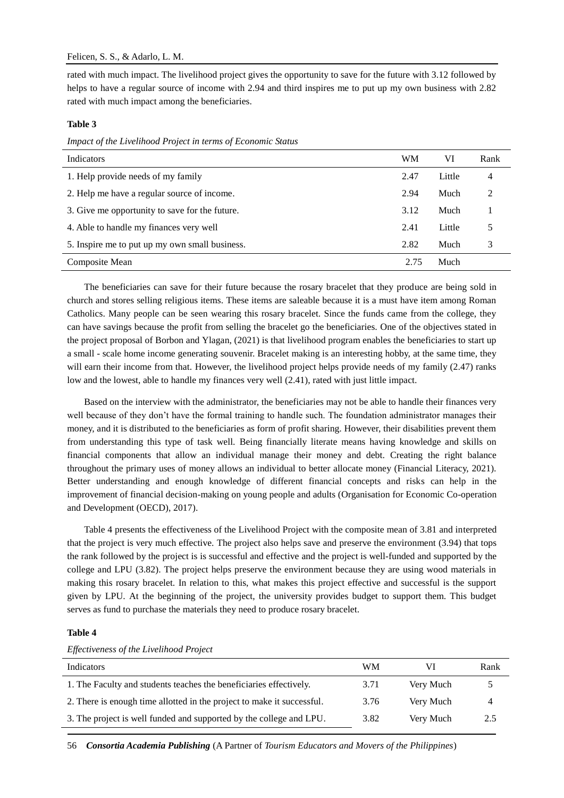rated with much impact. The livelihood project gives the opportunity to save for the future with 3.12 followed by helps to have a regular source of income with 2.94 and third inspires me to put up my own business with 2.82 rated with much impact among the beneficiaries.

## **Table 3**

*Impact of the Livelihood Project in terms of Economic Status*

| Indicators                                     | WM   | VI     | Rank |
|------------------------------------------------|------|--------|------|
| 1. Help provide needs of my family             | 2.47 | Little | 4    |
| 2. Help me have a regular source of income.    | 2.94 | Much   | っ    |
| 3. Give me opportunity to save for the future. | 3.12 | Much   |      |
| 4. Able to handle my finances very well        | 2.41 | Little |      |
| 5. Inspire me to put up my own small business. | 2.82 | Much   | 3    |
| Composite Mean                                 | 2.75 | Much   |      |

The beneficiaries can save for their future because the rosary bracelet that they produce are being sold in church and stores selling religious items. These items are saleable because it is a must have item among Roman Catholics. Many people can be seen wearing this rosary bracelet. Since the funds came from the college, they can have savings because the profit from selling the bracelet go the beneficiaries. One of the objectives stated in the project proposal of Borbon and Ylagan, (2021) is that livelihood program enables the beneficiaries to start up a small - scale home income generating souvenir. Bracelet making is an interesting hobby, at the same time, they will earn their income from that. However, the livelihood project helps provide needs of my family (2.47) ranks low and the lowest, able to handle my finances very well (2.41), rated with just little impact.

Based on the interview with the administrator, the beneficiaries may not be able to handle their finances very well because of they don't have the formal training to handle such. The foundation administrator manages their money, and it is distributed to the beneficiaries as form of profit sharing. However, their disabilities prevent them from understanding this type of task well. Being financially literate means having knowledge and skills on financial components that allow an individual manage their money and debt. Creating the right balance throughout the primary uses of money allows an individual to better allocate money (Financial Literacy, 2021). Better understanding and enough knowledge of different financial concepts and risks can help in the improvement of financial decision-making on young people and adults (Organisation for Economic Co-operation and Development (OECD), 2017).

Table 4 presents the effectiveness of the Livelihood Project with the composite mean of 3.81 and interpreted that the project is very much effective. The project also helps save and preserve the environment (3.94) that tops the rank followed by the project is is successful and effective and the project is well-funded and supported by the college and LPU (3.82). The project helps preserve the environment because they are using wood materials in making this rosary bracelet. In relation to this, what makes this project effective and successful is the support given by LPU. At the beginning of the project, the university provides budget to support them. This budget serves as fund to purchase the materials they need to produce rosary bracelet.

#### **Table 4**

*Effectiveness of the Livelihood Project*

| Indicators                                                             | WМ   |           | Rank |
|------------------------------------------------------------------------|------|-----------|------|
| 1. The Faculty and students teaches the beneficiaries effectively.     | 3.71 | Verv Much |      |
| 2. There is enough time allotted in the project to make it successful. | 3.76 | Verv Much | 4    |
| 3. The project is well funded and supported by the college and LPU.    | 3.82 | Very Much | 2.5  |

56 *Consortia Academia Publishing* (A Partner of *Tourism Educators and Movers of the Philippines*)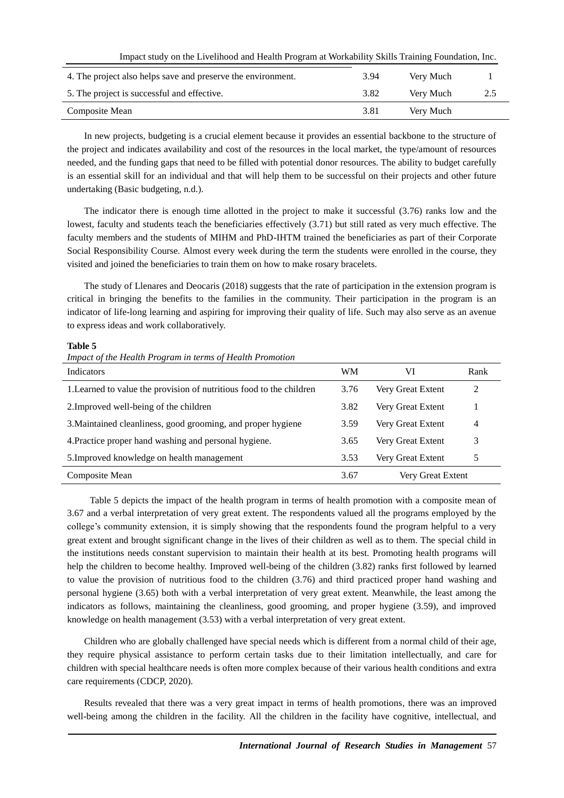Impact study on the Livelihood and Health Program at Workability Skills Training Foundation, Inc.

| 4. The project also helps save and preserve the environment. | 3.94 | Very Much |     |
|--------------------------------------------------------------|------|-----------|-----|
| 5. The project is successful and effective.                  | 3.82 | Very Much | 2.5 |
| Composite Mean                                               | 3.81 | Very Much |     |

In new projects, budgeting is a crucial element because it provides an essential backbone to the structure of the project and indicates availability and cost of the resources in the local market, the type/amount of resources needed, and the funding gaps that need to be filled with potential donor resources. The ability to budget carefully is an essential skill for an individual and that will help them to be successful on their projects and other future undertaking (Basic budgeting, n.d.).

The indicator there is enough time allotted in the project to make it successful (3.76) ranks low and the lowest, faculty and students teach the beneficiaries effectively (3.71) but still rated as very much effective. The faculty members and the students of MIHM and PhD-IHTM trained the beneficiaries as part of their Corporate Social Responsibility Course. Almost every week during the term the students were enrolled in the course, they visited and joined the beneficiaries to train them on how to make rosary bracelets.

The study of Llenares and Deocaris (2018) suggests that the rate of participation in the extension program is critical in bringing the benefits to the families in the community. Their participation in the program is an indicator of life-long learning and aspiring for improving their quality of life. Such may also serve as an avenue to express ideas and work collaboratively.

#### **Table 5**

*Impact of the Health Program in terms of Health Promotion*

| <b>Indicators</b>                                                    | <b>WM</b> | VI                | Rank |
|----------------------------------------------------------------------|-----------|-------------------|------|
| 1. Learned to value the provision of nutritious food to the children | 3.76      | Very Great Extent | 2    |
| 2. Improved well-being of the children                               | 3.82      | Very Great Extent |      |
| 3. Maintained cleanliness, good grooming, and proper hygiene         | 3.59      | Very Great Extent | 4    |
| 4. Practice proper hand washing and personal hygiene.                | 3.65      | Very Great Extent | 3    |
| 5. Improved knowledge on health management                           | 3.53      | Very Great Extent | 5    |
| Composite Mean                                                       | 3.67      | Very Great Extent |      |

Table 5 depicts the impact of the health program in terms of health promotion with a composite mean of 3.67 and a verbal interpretation of very great extent. The respondents valued all the programs employed by the college's community extension, it is simply showing that the respondents found the program helpful to a very great extent and brought significant change in the lives of their children as well as to them. The special child in the institutions needs constant supervision to maintain their health at its best. Promoting health programs will help the children to become healthy. Improved well-being of the children (3.82) ranks first followed by learned to value the provision of nutritious food to the children (3.76) and third practiced proper hand washing and personal hygiene (3.65) both with a verbal interpretation of very great extent. Meanwhile, the least among the indicators as follows, maintaining the cleanliness, good grooming, and proper hygiene (3.59), and improved knowledge on health management (3.53) with a verbal interpretation of very great extent.

Children who are globally challenged have special needs which is different from a normal child of their age, they require physical assistance to perform certain tasks due to their limitation intellectually, and care for children with special healthcare needs is often more complex because of their various health conditions and extra care requirements (CDCP, 2020).

Results revealed that there was a very great impact in terms of health promotions, there was an improved well-being among the children in the facility. All the children in the facility have cognitive, intellectual, and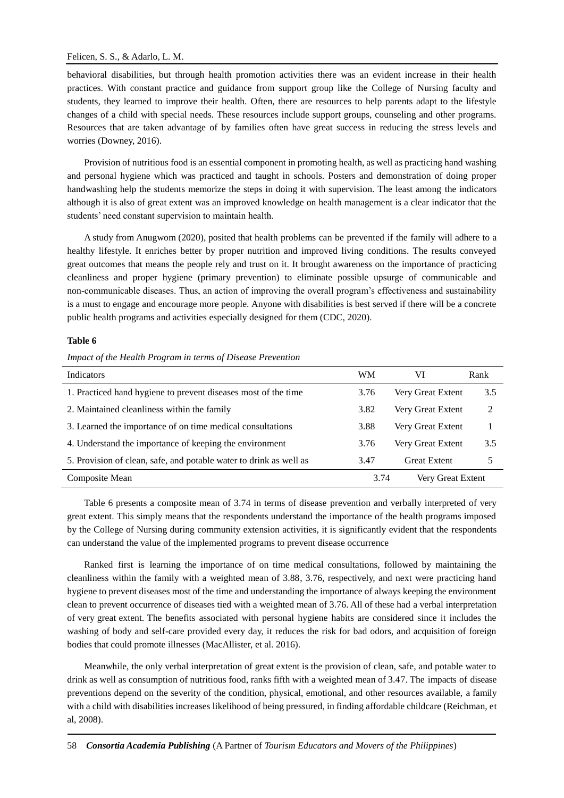## Felicen, S. S., & Adarlo, L. M.

behavioral disabilities, but through health promotion activities there was an evident increase in their health practices. With constant practice and guidance from support group like the College of Nursing faculty and students, they learned to improve their health. Often, there are resources to help parents adapt to the lifestyle changes of a child with special needs. These resources include support groups, counseling and other programs. Resources that are taken advantage of by families often have great success in reducing the stress levels and worries (Downey, 2016).

Provision of nutritious food is an essential component in promoting health, as well as practicing hand washing and personal hygiene which was practiced and taught in schools. Posters and demonstration of doing proper handwashing help the students memorize the steps in doing it with supervision. The least among the indicators although it is also of great extent was an improved knowledge on health management is a clear indicator that the students' need constant supervision to maintain health.

A study from Anugwom (2020), posited that health problems can be prevented if the family will adhere to a healthy lifestyle. It enriches better by proper nutrition and improved living conditions. The results conveyed great outcomes that means the people rely and trust on it. It brought awareness on the importance of practicing cleanliness and proper hygiene (primary prevention) to eliminate possible upsurge of communicable and non-communicable diseases. Thus, an action of improving the overall program's effectiveness and sustainability is a must to engage and encourage more people. Anyone with disabilities is best served if there will be a concrete public health programs and activities especially designed for them (CDC, 2020).

#### **Table 6**

## *Impact of the Health Program in terms of Disease Prevention*

| Indicators                                                         | WM   | VI                  | Rank           |
|--------------------------------------------------------------------|------|---------------------|----------------|
| 1. Practiced hand hygiene to prevent diseases most of the time     | 3.76 | Very Great Extent   | 3.5            |
| 2. Maintained cleanliness within the family                        | 3.82 | Very Great Extent   | $\mathfrak{D}$ |
| 3. Learned the importance of on time medical consultations         | 3.88 | Very Great Extent   |                |
| 4. Understand the importance of keeping the environment            | 3.76 | Very Great Extent   | 3.5            |
| 5. Provision of clean, safe, and potable water to drink as well as | 3.47 | <b>Great Extent</b> | 5              |
| Composite Mean                                                     | 3.74 | Very Great Extent   |                |

Table 6 presents a composite mean of 3.74 in terms of disease prevention and verbally interpreted of very great extent. This simply means that the respondents understand the importance of the health programs imposed by the College of Nursing during community extension activities, it is significantly evident that the respondents can understand the value of the implemented programs to prevent disease occurrence

Ranked first is learning the importance of on time medical consultations, followed by maintaining the cleanliness within the family with a weighted mean of 3.88, 3.76, respectively, and next were practicing hand hygiene to prevent diseases most of the time and understanding the importance of always keeping the environment clean to prevent occurrence of diseases tied with a weighted mean of 3.76. All of these had a verbal interpretation of very great extent. The benefits associated with personal hygiene habits are considered since it includes the washing of body and self-care provided every day, it reduces the risk for bad odors, and acquisition of foreign bodies that could promote illnesses (MacAllister, et al. 2016).

Meanwhile, the only verbal interpretation of great extent is the provision of clean, safe, and potable water to drink as well as consumption of nutritious food, ranks fifth with a weighted mean of 3.47. The impacts of disease preventions depend on the severity of the condition, physical, emotional, and other resources available, a family with a child with disabilities increases likelihood of being pressured, in finding affordable childcare (Reichman, et al, 2008).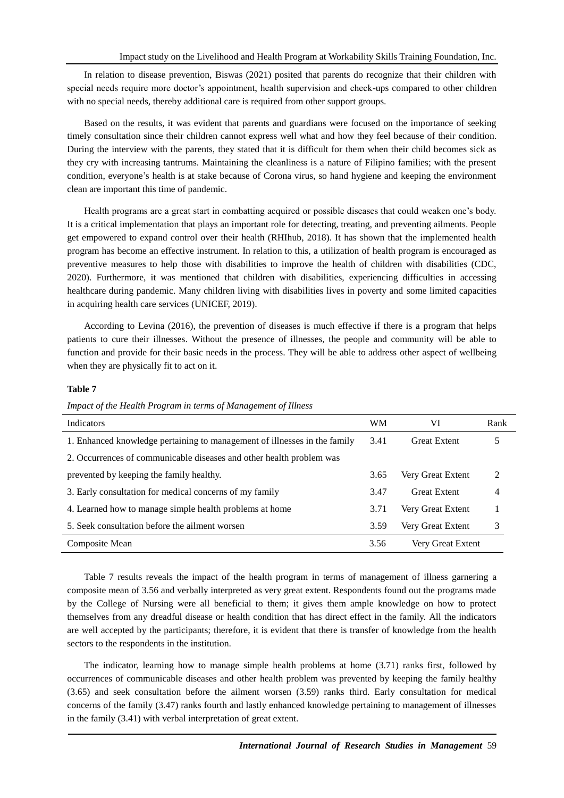In relation to disease prevention, Biswas (2021) posited that parents do recognize that their children with special needs require more doctor's appointment, health supervision and check-ups compared to other children with no special needs, thereby additional care is required from other support groups.

Based on the results, it was evident that parents and guardians were focused on the importance of seeking timely consultation since their children cannot express well what and how they feel because of their condition. During the interview with the parents, they stated that it is difficult for them when their child becomes sick as they cry with increasing tantrums. Maintaining the cleanliness is a nature of Filipino families; with the present condition, everyone's health is at stake because of Corona virus, so hand hygiene and keeping the environment clean are important this time of pandemic.

Health programs are a great start in combatting acquired or possible diseases that could weaken one's body. It is a critical implementation that plays an important role for detecting, treating, and preventing ailments. People get empowered to expand control over their health (RHIhub, 2018). It has shown that the implemented health program has become an effective instrument. In relation to this, a utilization of health program is encouraged as preventive measures to help those with disabilities to improve the health of children with disabilities (CDC, 2020). Furthermore, it was mentioned that children with disabilities, experiencing difficulties in accessing healthcare during pandemic. Many children living with disabilities lives in poverty and some limited capacities in acquiring health care services (UNICEF, 2019).

According to Levina (2016), the prevention of diseases is much effective if there is a program that helps patients to cure their illnesses. Without the presence of illnesses, the people and community will be able to function and provide for their basic needs in the process. They will be able to address other aspect of wellbeing when they are physically fit to act on it.

## **Table 7**

| <b>Indicators</b>                                                         | <b>WM</b> | VI                  | Rank |
|---------------------------------------------------------------------------|-----------|---------------------|------|
| 1. Enhanced knowledge pertaining to management of illnesses in the family | 3.41      | <b>Great Extent</b> |      |
| 2. Occurrences of communicable diseases and other health problem was      |           |                     |      |
| prevented by keeping the family healthy.                                  | 3.65      | Very Great Extent   | 2    |
| 3. Early consultation for medical concerns of my family                   | 3.47      | <b>Great Extent</b> | 4    |
| 4. Learned how to manage simple health problems at home                   | 3.71      | Very Great Extent   |      |
| 5. Seek consultation before the ailment worsen                            | 3.59      | Very Great Extent   | 3    |
| Composite Mean                                                            | 3.56      | Very Great Extent   |      |

*Impact of the Health Program in terms of Management of Illness*

Table 7 results reveals the impact of the health program in terms of management of illness garnering a composite mean of 3.56 and verbally interpreted as very great extent. Respondents found out the programs made by the College of Nursing were all beneficial to them; it gives them ample knowledge on how to protect themselves from any dreadful disease or health condition that has direct effect in the family. All the indicators are well accepted by the participants; therefore, it is evident that there is transfer of knowledge from the health sectors to the respondents in the institution.

The indicator, learning how to manage simple health problems at home (3.71) ranks first, followed by occurrences of communicable diseases and other health problem was prevented by keeping the family healthy (3.65) and seek consultation before the ailment worsen (3.59) ranks third. Early consultation for medical concerns of the family (3.47) ranks fourth and lastly enhanced knowledge pertaining to management of illnesses in the family (3.41) with verbal interpretation of great extent.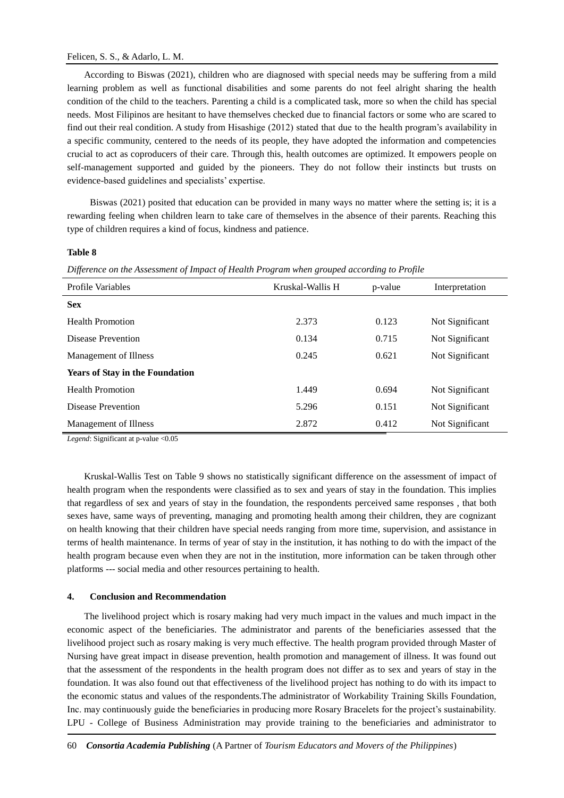# Felicen, S. S., & Adarlo, L. M.

According to Biswas (2021), children who are diagnosed with special needs may be suffering from a mild learning problem as well as functional disabilities and some parents do not feel alright sharing the health condition of the child to the teachers. Parenting a child is a complicated task, more so when the child has special needs. Most Filipinos are hesitant to have themselves checked due to financial factors or some who are scared to find out their real condition. A study from Hisashige (2012) stated that due to the health program's availability in a specific community, centered to the needs of its people, they have adopted the information and competencies crucial to act as coproducers of their care. Through this, health outcomes are optimized. It empowers people on self-management supported and guided by the pioneers. They do not follow their instincts but trusts on evidence-based guidelines and specialists' expertise.

Biswas (2021) posited that education can be provided in many ways no matter where the setting is; it is a rewarding feeling when children learn to take care of themselves in the absence of their parents. Reaching this type of children requires a kind of focus, kindness and patience.

# **Table 8**

*Difference on the Assessment of Impact of Health Program when grouped according to Profile*

| Profile Variables                      | Kruskal-Wallis H | p-value | Interpretation  |
|----------------------------------------|------------------|---------|-----------------|
| <b>Sex</b>                             |                  |         |                 |
| <b>Health Promotion</b>                | 2.373            | 0.123   | Not Significant |
| Disease Prevention                     | 0.134            | 0.715   | Not Significant |
| Management of Illness                  | 0.245            | 0.621   | Not Significant |
| <b>Years of Stay in the Foundation</b> |                  |         |                 |
| <b>Health Promotion</b>                | 1.449            | 0.694   | Not Significant |
| Disease Prevention                     | 5.296            | 0.151   | Not Significant |
| Management of Illness                  | 2.872            | 0.412   | Not Significant |

*Legend*: Significant at p-value <0.05

Kruskal-Wallis Test on Table 9 shows no statistically significant difference on the assessment of impact of health program when the respondents were classified as to sex and years of stay in the foundation. This implies that regardless of sex and years of stay in the foundation, the respondents perceived same responses , that both sexes have, same ways of preventing, managing and promoting health among their children, they are cognizant on health knowing that their children have special needs ranging from more time, supervision, and assistance in terms of health maintenance. In terms of year of stay in the institution, it has nothing to do with the impact of the health program because even when they are not in the institution, more information can be taken through other platforms --- social media and other resources pertaining to health.

# **4. Conclusion and Recommendation**

The livelihood project which is rosary making had very much impact in the values and much impact in the economic aspect of the beneficiaries. The administrator and parents of the beneficiaries assessed that the livelihood project such as rosary making is very much effective. The health program provided through Master of Nursing have great impact in disease prevention, health promotion and management of illness. It was found out that the assessment of the respondents in the health program does not differ as to sex and years of stay in the foundation. It was also found out that effectiveness of the livelihood project has nothing to do with its impact to the economic status and values of the respondents.The administrator of Workability Training Skills Foundation, Inc. may continuously guide the beneficiaries in producing more Rosary Bracelets for the project's sustainability. LPU - College of Business Administration may provide training to the beneficiaries and administrator to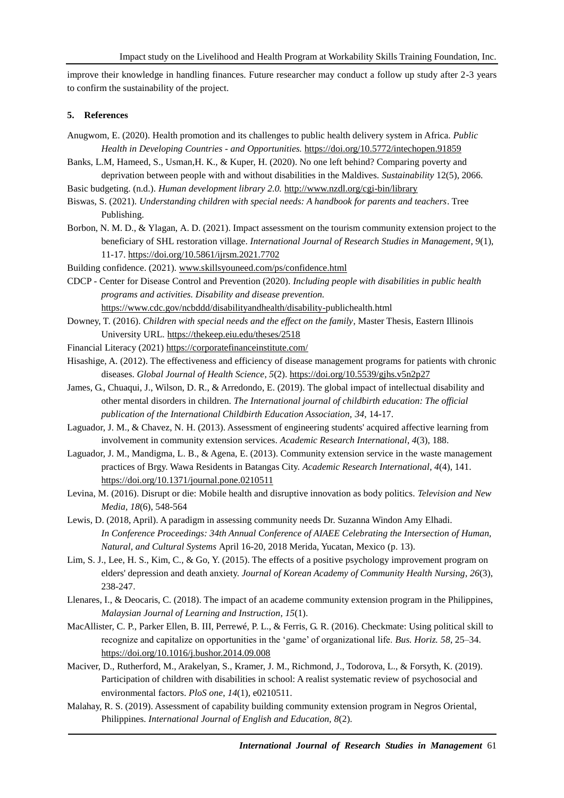improve their knowledge in handling finances. Future researcher may conduct a follow up study after 2-3 years to confirm the sustainability of the project.

## **5. References**

- Anugwom, E. (2020). Health promotion and its challenges to public health delivery system in Africa. *Public Health in Developing Countries - and Opportunities.* <https://doi.org/10.5772/intechopen.91859>
- Banks, L.M, Hameed, S., Usman,H. K., & Kuper, H. (2020). No one left behind? Comparing poverty and deprivation between people with and without disabilities in the Maldives. *Sustainability* 12(5), 2066.
- Basic budgeting. (n.d.). *Human development library 2.0.* <http://www.nzdl.org/cgi-bin/library>
- Biswas, S. (2021). *Understanding children with special needs: A handbook for parents and teachers*. Tree Publishing.
- Borbon, N. M. D., & Ylagan, A. D. (2021). Impact assessment on the tourism community extension project to the beneficiary of SHL restoration village. *International Journal of Research Studies in Management*, *9*(1), 11-17.<https://doi.org/10.5861/ijrsm.2021.7702>
- Building confidence. (2021). [www.skillsyouneed.com/ps/confidence.html](http://www.skillsyouneed.com/ps/confidence.html)

CDCP - Center for Disease Control and Prevention (2020). *Including people with disabilities in public health programs and activities. Disability and disease prevention.* [https://www.cdc.gov/ncbddd/disabilityandhealth/disability-p](https://www.cdc.gov/ncbddd/disabilityandhealth/disability-)ublichealth.html

- Downey, T. (2016). *Children with special needs and the effect on the family*, Master Thesis, Eastern Illinois University URL.<https://thekeep.eiu.edu/theses/2518>
- Financial Literacy (2021[\) https://corporatefinanceinstitute.com/](https://corporatefinanceinstitute.com/)
- Hisashige, A. (2012). The effectiveness and efficiency of disease management programs for patients with chronic diseases. *Global Journal of Health Science*, *5*(2). <https://doi.org/10.5539/gjhs.v5n2p27>
- James, G., Chuaqui, J., Wilson, D. R., & Arredondo, E. (2019). The global impact of intellectual disability and other mental disorders in children. *The International journal of childbirth education: The official publication of the International Childbirth Education Association, 34*, 14-17.
- Laguador, J. M., & Chavez, N. H. (2013). Assessment of engineering students' acquired affective learning from involvement in community extension services. *Academic Research International*, *4*(3), 188.
- Laguador, J. M., Mandigma, L. B., & Agena, E. (2013). Community extension service in the waste management practices of Brgy. Wawa Residents in Batangas City. *Academic Research International*, *4*(4), 141. <https://doi.org/10.1371/journal.pone.0210511>
- Levina, M. (2016). Disrupt or die: Mobile health and disruptive innovation as body politics. *Television and New Media, 18*(6), 548-564
- Lewis, D. (2018, April). A paradigm in assessing community needs Dr. Suzanna Windon Amy Elhadi. *In Conference Proceedings: 34th Annual Conference of AIAEE Celebrating the Intersection of Human, Natural, and Cultural Systems* April 16-20, 2018 Merida, Yucatan, Mexico (p. 13).
- Lim, S. J., Lee, H. S., Kim, C., & Go, Y. (2015). The effects of a positive psychology improvement program on elders' depression and death anxiety. *Journal of Korean Academy of Community Health Nursing*, *26*(3), 238-247.
- Llenares, I., & Deocaris, C. (2018). The impact of an academe community extension program in the Philippines, *Malaysian Journal of Learning and Instruction*, *15*(1).
- MacAllister, C. P., Parker Ellen, B. III, Perrewé, P. L., & Ferris, G. R. (2016). Checkmate: Using political skill to recognize and capitalize on opportunities in the 'game' of organizational life. *Bus. Horiz. 58*, 25–34. <https://doi.org/10.1016/j.bushor.2014.09.008>
- Maciver, D., Rutherford, M., Arakelyan, S., Kramer, J. M., Richmond, J., Todorova, L., & Forsyth, K. (2019). Participation of children with disabilities in school: A realist systematic review of psychosocial and environmental factors. *PloS one*, *14*(1), e0210511.
- Malahay, R. S. (2019). Assessment of capability building community extension program in Negros Oriental, Philippines. *International Journal of English and Education, 8*(2).